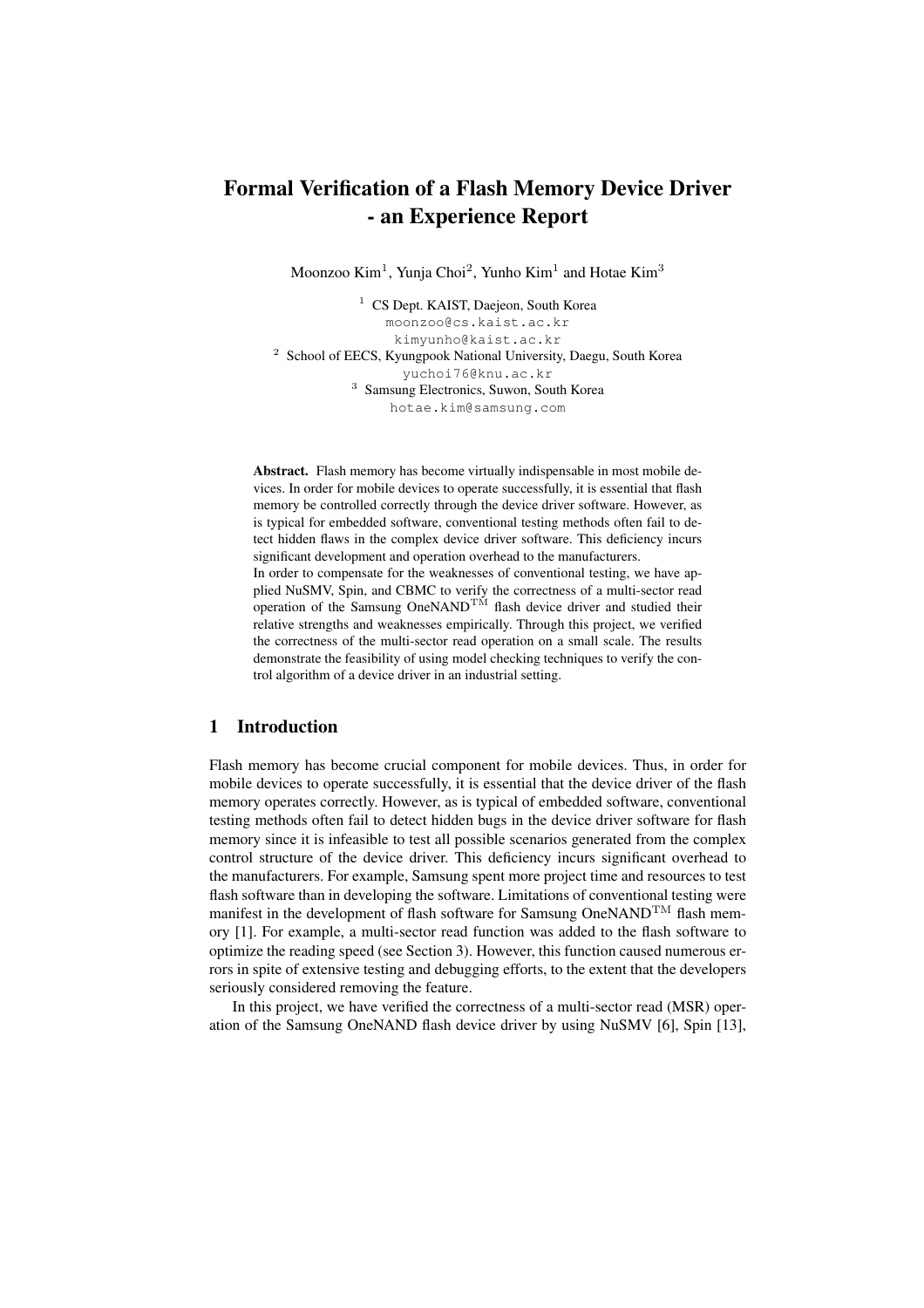# Formal Verification of a Flash Memory Device Driver - an Experience Report

Moonzoo Kim<sup>1</sup>, Yunja Choi<sup>2</sup>, Yunho Kim<sup>1</sup> and Hotae Kim<sup>3</sup>

<sup>1</sup> CS Dept. KAIST, Daejeon, South Korea moonzoo@cs.kaist.ac.kr kimyunho@kaist.ac.kr <sup>2</sup> School of EECS, Kyungpook National University, Daegu, South Korea yuchoi76@knu.ac.kr 3 Samsung Electronics, Suwon, South Korea hotae.kim@samsung.com

Abstract. Flash memory has become virtually indispensable in most mobile devices. In order for mobile devices to operate successfully, it is essential that flash memory be controlled correctly through the device driver software. However, as is typical for embedded software, conventional testing methods often fail to detect hidden flaws in the complex device driver software. This deficiency incurs significant development and operation overhead to the manufacturers.

In order to compensate for the weaknesses of conventional testing, we have applied NuSMV, Spin, and CBMC to verify the correctness of a multi-sector read operation of the Samsung OneNAND<sup>TM</sup> flash device driver and studied their relative strengths and weaknesses empirically. Through this project, we verified the correctness of the multi-sector read operation on a small scale. The results demonstrate the feasibility of using model checking techniques to verify the control algorithm of a device driver in an industrial setting.

# 1 Introduction

Flash memory has become crucial component for mobile devices. Thus, in order for mobile devices to operate successfully, it is essential that the device driver of the flash memory operates correctly. However, as is typical of embedded software, conventional testing methods often fail to detect hidden bugs in the device driver software for flash memory since it is infeasible to test all possible scenarios generated from the complex control structure of the device driver. This deficiency incurs significant overhead to the manufacturers. For example, Samsung spent more project time and resources to test flash software than in developing the software. Limitations of conventional testing were manifest in the development of flash software for Samsung OneNAND<sup>TM</sup> flash memory [1]. For example, a multi-sector read function was added to the flash software to optimize the reading speed (see Section 3). However, this function caused numerous errors in spite of extensive testing and debugging efforts, to the extent that the developers seriously considered removing the feature.

In this project, we have verified the correctness of a multi-sector read (MSR) operation of the Samsung OneNAND flash device driver by using NuSMV [6], Spin [13],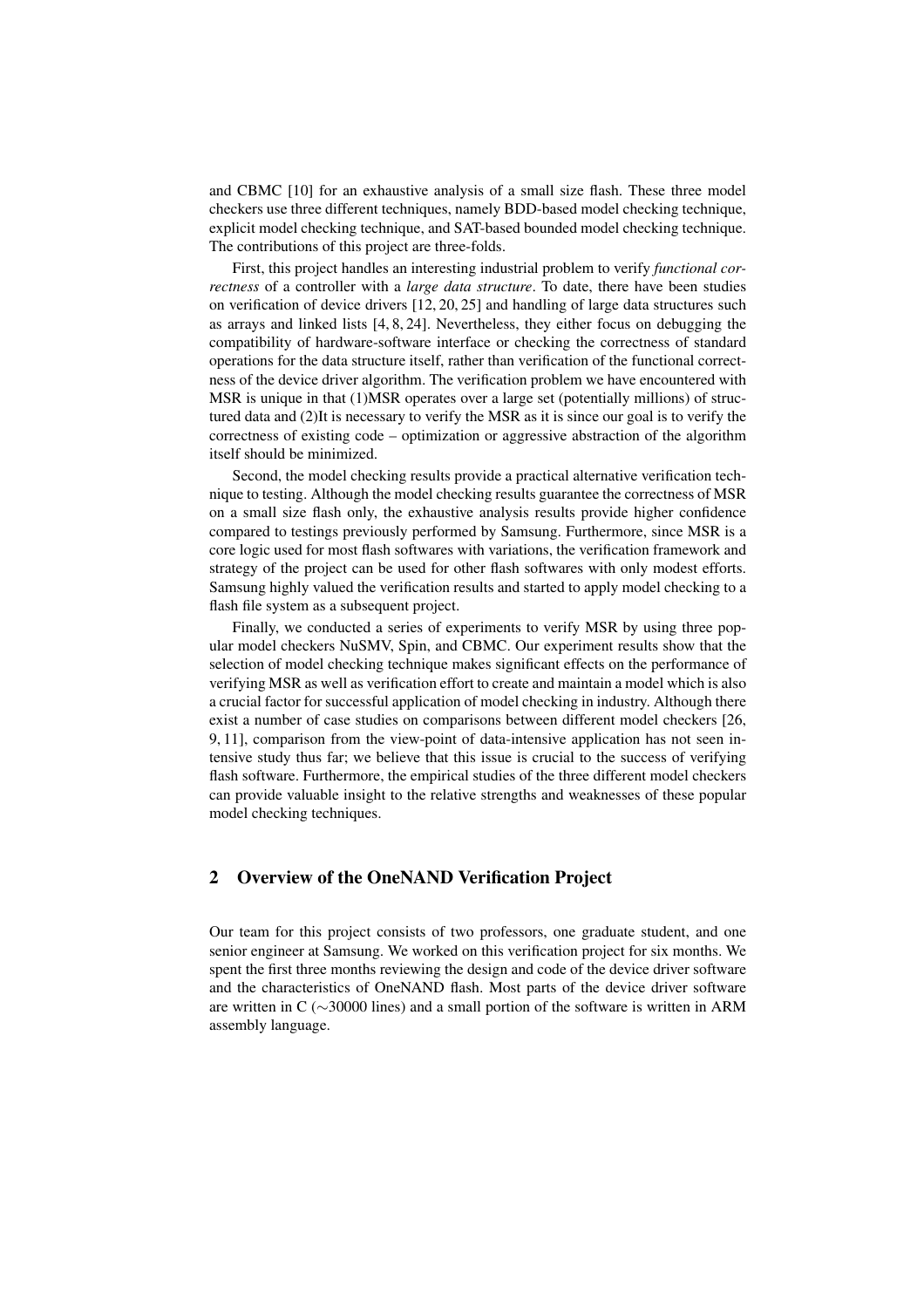and CBMC [10] for an exhaustive analysis of a small size flash. These three model checkers use three different techniques, namely BDD-based model checking technique, explicit model checking technique, and SAT-based bounded model checking technique. The contributions of this project are three-folds.

First, this project handles an interesting industrial problem to verify *functional correctness* of a controller with a *large data structure*. To date, there have been studies on verification of device drivers [12, 20, 25] and handling of large data structures such as arrays and linked lists [4, 8, 24]. Nevertheless, they either focus on debugging the compatibility of hardware-software interface or checking the correctness of standard operations for the data structure itself, rather than verification of the functional correctness of the device driver algorithm. The verification problem we have encountered with MSR is unique in that (1)MSR operates over a large set (potentially millions) of structured data and (2)It is necessary to verify the MSR as it is since our goal is to verify the correctness of existing code – optimization or aggressive abstraction of the algorithm itself should be minimized.

Second, the model checking results provide a practical alternative verification technique to testing. Although the model checking results guarantee the correctness of MSR on a small size flash only, the exhaustive analysis results provide higher confidence compared to testings previously performed by Samsung. Furthermore, since MSR is a core logic used for most flash softwares with variations, the verification framework and strategy of the project can be used for other flash softwares with only modest efforts. Samsung highly valued the verification results and started to apply model checking to a flash file system as a subsequent project.

Finally, we conducted a series of experiments to verify MSR by using three popular model checkers NuSMV, Spin, and CBMC. Our experiment results show that the selection of model checking technique makes significant effects on the performance of verifying MSR as well as verification effort to create and maintain a model which is also a crucial factor for successful application of model checking in industry. Although there exist a number of case studies on comparisons between different model checkers [26, 9, 11], comparison from the view-point of data-intensive application has not seen intensive study thus far; we believe that this issue is crucial to the success of verifying flash software. Furthermore, the empirical studies of the three different model checkers can provide valuable insight to the relative strengths and weaknesses of these popular model checking techniques.

# 2 Overview of the OneNAND Verification Project

Our team for this project consists of two professors, one graduate student, and one senior engineer at Samsung. We worked on this verification project for six months. We spent the first three months reviewing the design and code of the device driver software and the characteristics of OneNAND flash. Most parts of the device driver software are written in C (∼30000 lines) and a small portion of the software is written in ARM assembly language.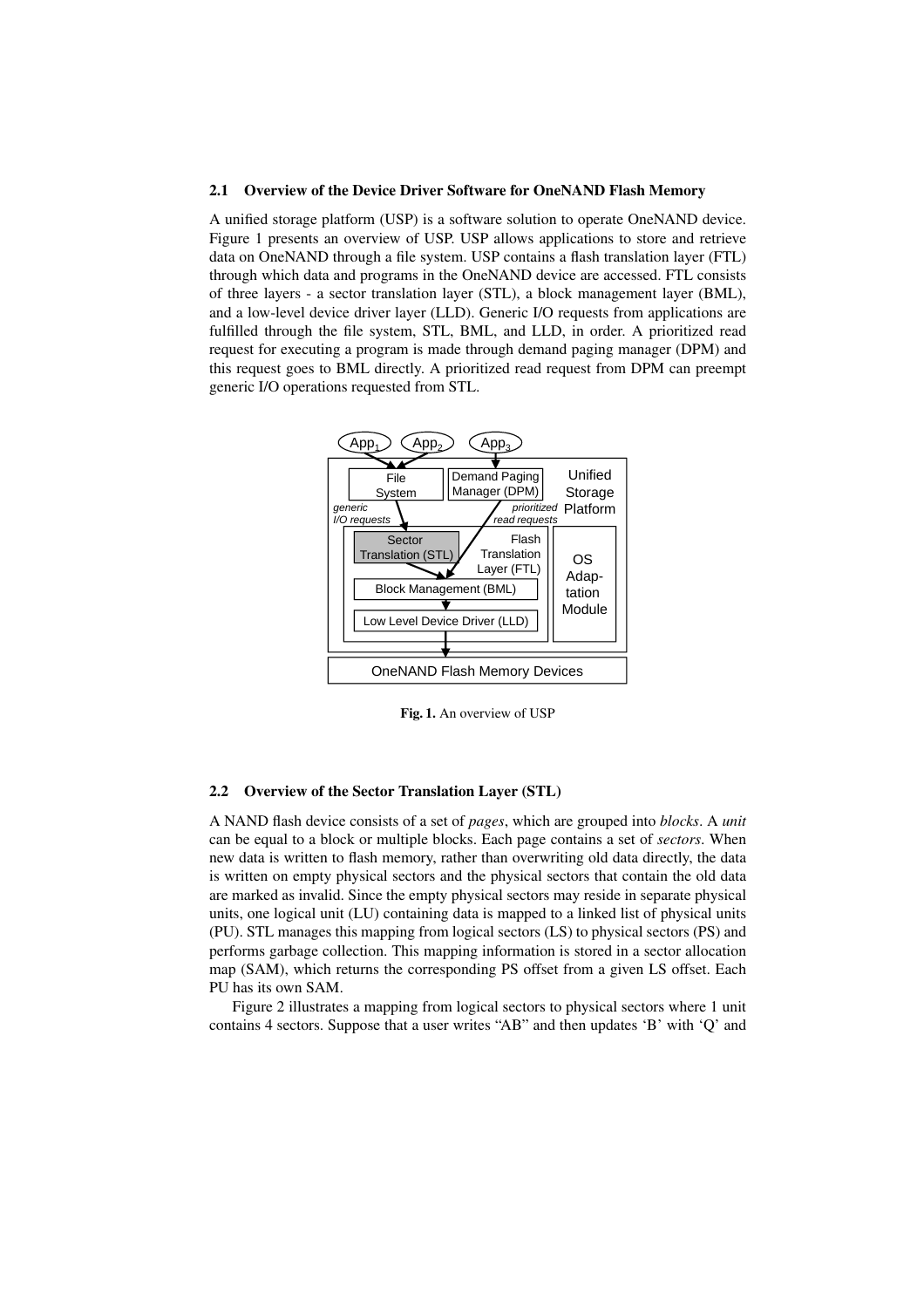#### 2.1 Overview of the Device Driver Software for OneNAND Flash Memory

A unified storage platform (USP) is a software solution to operate OneNAND device. Figure 1 presents an overview of USP. USP allows applications to store and retrieve data on OneNAND through a file system. USP contains a flash translation layer (FTL) through which data and programs in the OneNAND device are accessed. FTL consists of three layers - a sector translation layer (STL), a block management layer (BML), and a low-level device driver layer (LLD). Generic I/O requests from applications are fulfilled through the file system, STL, BML, and LLD, in order. A prioritized read request for executing a program is made through demand paging manager (DPM) and this request goes to BML directly. A prioritized read request from DPM can preempt generic I/O operations requested from STL.



Fig. 1. An overview of USP

### 2.2 Overview of the Sector Translation Layer (STL)

A NAND flash device consists of a set of *pages*, which are grouped into *blocks*. A *unit* can be equal to a block or multiple blocks. Each page contains a set of *sectors*. When new data is written to flash memory, rather than overwriting old data directly, the data is written on empty physical sectors and the physical sectors that contain the old data are marked as invalid. Since the empty physical sectors may reside in separate physical units, one logical unit (LU) containing data is mapped to a linked list of physical units (PU). STL manages this mapping from logical sectors (LS) to physical sectors (PS) and performs garbage collection. This mapping information is stored in a sector allocation map (SAM), which returns the corresponding PS offset from a given LS offset. Each PU has its own SAM.

Figure 2 illustrates a mapping from logical sectors to physical sectors where 1 unit contains 4 sectors. Suppose that a user writes "AB" and then updates 'B' with 'Q' and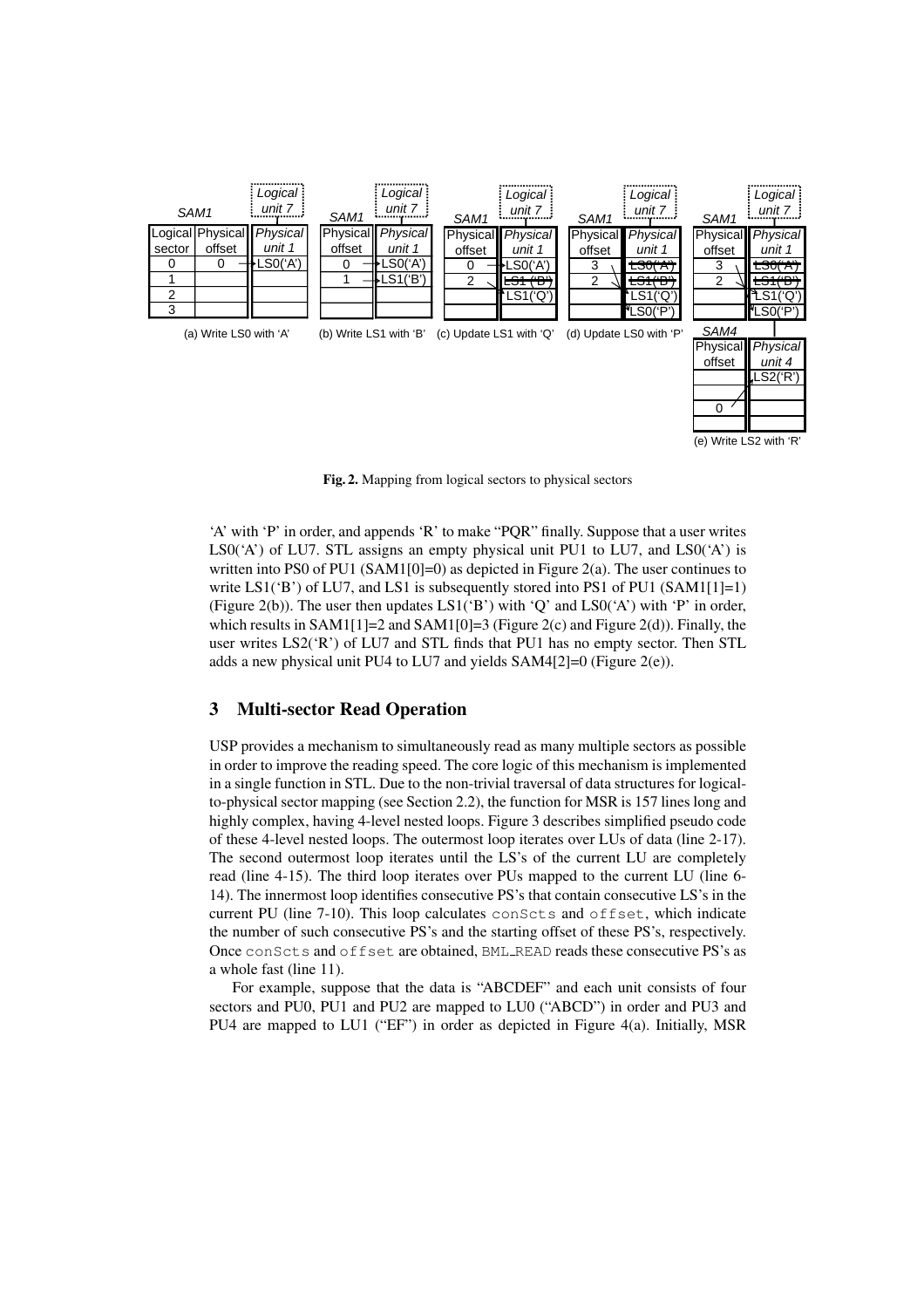

Fig. 2. Mapping from logical sectors to physical sectors

'A' with 'P' in order, and appends 'R' to make "PQR" finally. Suppose that a user writes LS0('A') of LU7. STL assigns an empty physical unit PU1 to LU7, and LS0('A') is written into PS0 of PU1 (SAM1[0]=0) as depicted in Figure 2(a). The user continues to write  $LS1('B')$  of  $LU7$ , and  $LS1$  is subsequently stored into PS1 of PU1 (SAM1[1]=1) (Figure 2(b)). The user then updates  $LS1('B')$  with 'Q' and  $LS0('A')$  with 'P' in order, which results in  $SAMI[1]=2$  and  $SAMI[0]=3$  (Figure 2(c) and Figure 2(d)). Finally, the user writes LS2('R') of LU7 and STL finds that PU1 has no empty sector. Then STL adds a new physical unit PU4 to LU7 and yields SAM4[2]=0 (Figure 2(e)).

# 3 Multi-sector Read Operation

USP provides a mechanism to simultaneously read as many multiple sectors as possible in order to improve the reading speed. The core logic of this mechanism is implemented in a single function in STL. Due to the non-trivial traversal of data structures for logicalto-physical sector mapping (see Section 2.2), the function for MSR is 157 lines long and highly complex, having 4-level nested loops. Figure 3 describes simplified pseudo code of these 4-level nested loops. The outermost loop iterates over LUs of data (line 2-17). The second outermost loop iterates until the LS's of the current LU are completely read (line 4-15). The third loop iterates over PUs mapped to the current LU (line 6- 14). The innermost loop identifies consecutive PS's that contain consecutive LS's in the current PU (line 7-10). This loop calculates conScts and offset, which indicate the number of such consecutive PS's and the starting offset of these PS's, respectively. Once conScts and offset are obtained, BML READ reads these consecutive PS's as a whole fast (line 11).

For example, suppose that the data is "ABCDEF" and each unit consists of four sectors and PU0, PU1 and PU2 are mapped to LU0 ("ABCD") in order and PU3 and PU4 are mapped to LU1 ("EF") in order as depicted in Figure 4(a). Initially, MSR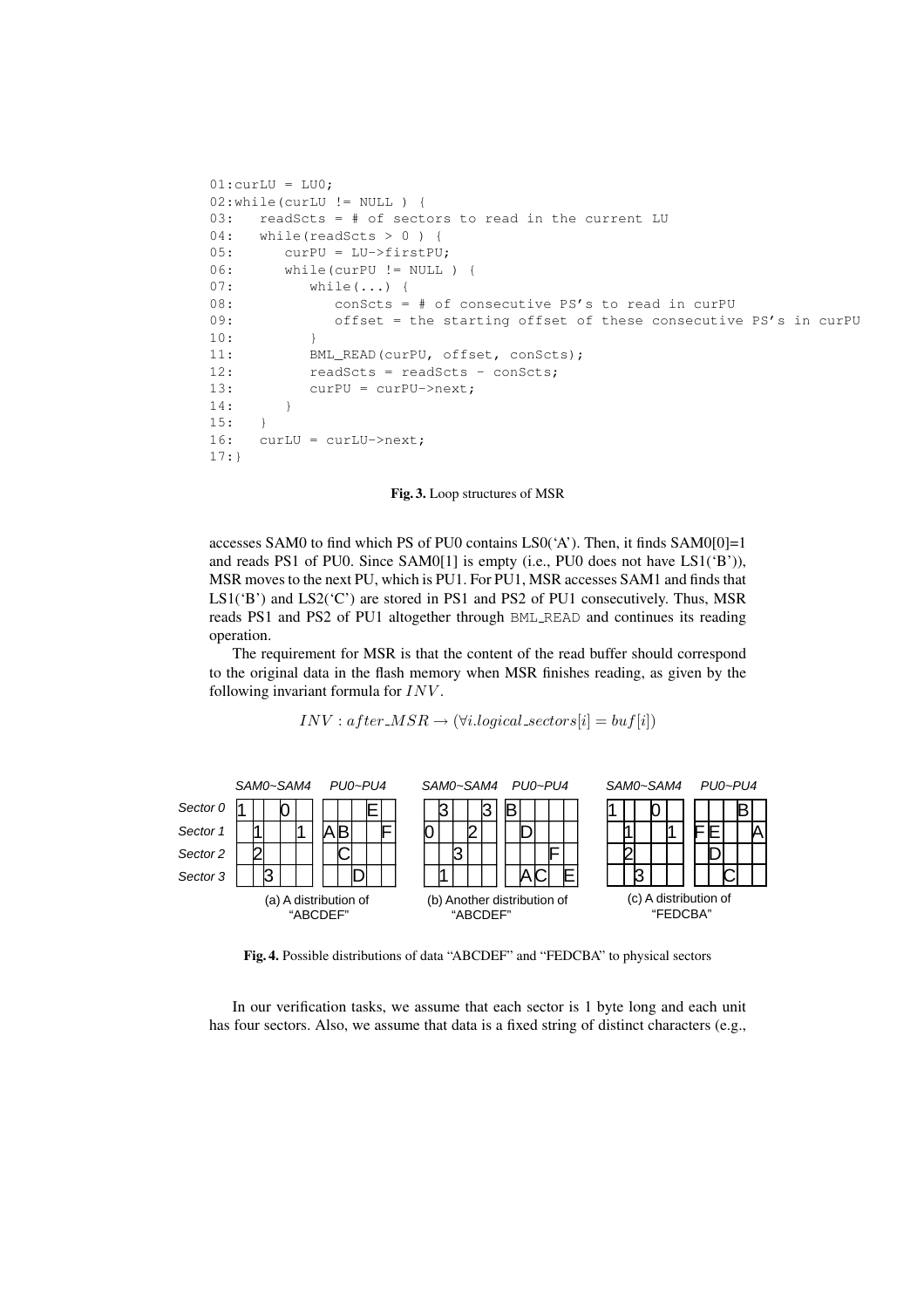```
01:curLU = LU0;02:while(curLU != NULL ) {
03: readScts = # of sectors to read in the current LU
04: while(readScts > 0 ) {
05: curPU = LU->firstPU;
06: while(curPU != NULL ) {
07: while(...) {
08: conScts = # of consecutive PS's to read in curPU
09: offset = the starting offset of these consecutive PS's in curPU
10: }
11: BML_READ(curPU, offset, conScts);
12: readScts = readScts - conScts;
13: curPU = curPU->next;
14: }
15: }
16: curLU = curLU->next;
17:}
```
Fig. 3. Loop structures of MSR

accesses SAM0 to find which PS of PU0 contains  $LSO(A')$ . Then, it finds SAM0[0]=1 and reads PS1 of PU0. Since SAM0[1] is empty (i.e., PU0 does not have LS1('B')), MSR moves to the next PU, which is PU1. For PU1, MSR accesses SAM1 and finds that LS1('B') and LS2('C') are stored in PS1 and PS2 of PU1 consecutively. Thus, MSR reads PS1 and PS2 of PU1 altogether through BML READ and continues its reading operation.

The requirement for MSR is that the content of the read buffer should correspond to the original data in the flash memory when MSR finishes reading, as given by the following invariant formula for  $INV$ .

$$
INV: after\_MSR \rightarrow (\forall i. logical\_sectors[i] = but[i])
$$



Fig. 4. Possible distributions of data "ABCDEF" and "FEDCBA" to physical sectors

In our verification tasks, we assume that each sector is 1 byte long and each unit has four sectors. Also, we assume that data is a fixed string of distinct characters (e.g.,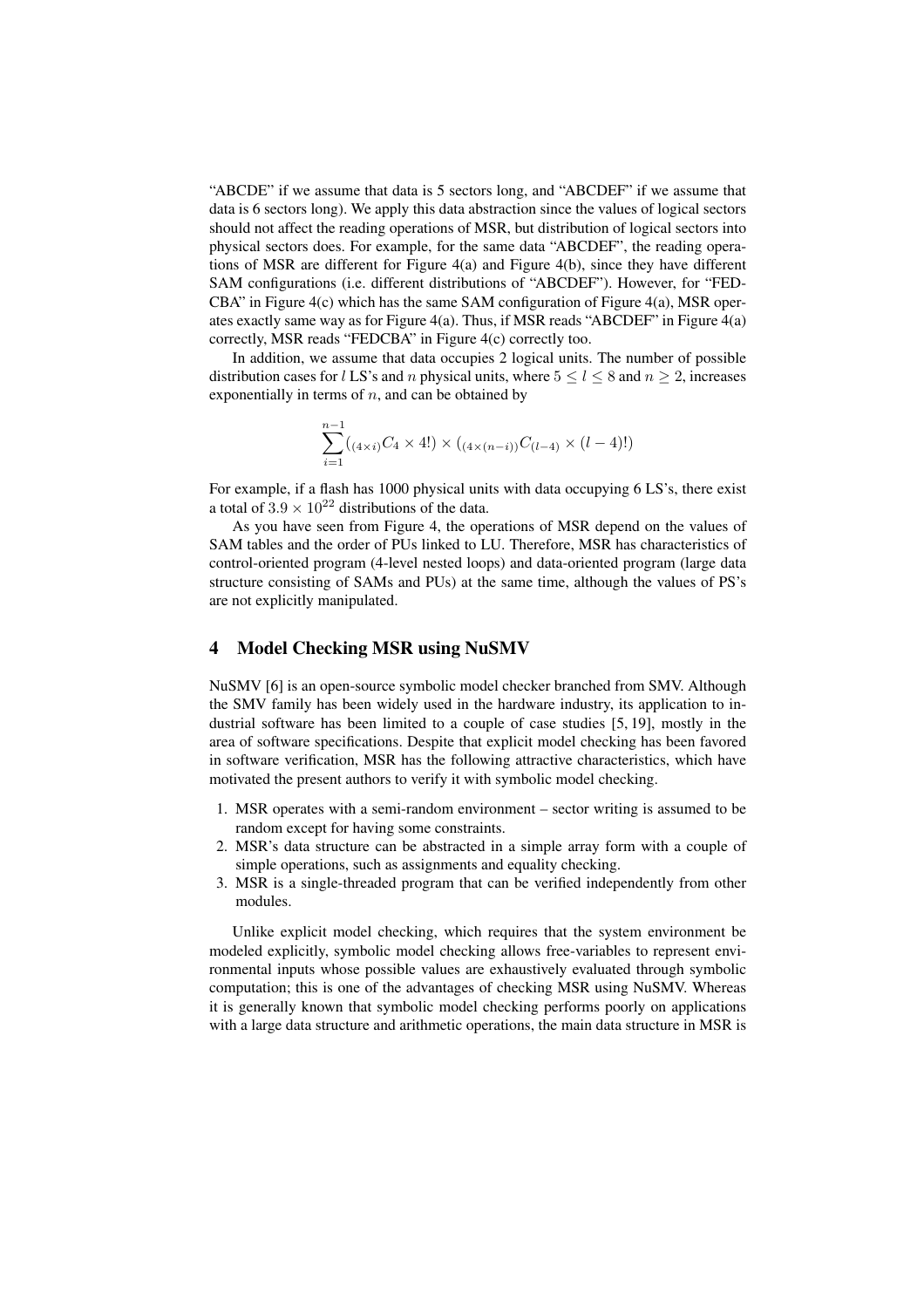"ABCDE" if we assume that data is 5 sectors long, and "ABCDEF" if we assume that data is 6 sectors long). We apply this data abstraction since the values of logical sectors should not affect the reading operations of MSR, but distribution of logical sectors into physical sectors does. For example, for the same data "ABCDEF", the reading operations of MSR are different for Figure  $4(a)$  and Figure  $4(b)$ , since they have different SAM configurations (i.e. different distributions of "ABCDEF"). However, for "FED-CBA" in Figure 4(c) which has the same SAM configuration of Figure 4(a), MSR operates exactly same way as for Figure 4(a). Thus, if MSR reads "ABCDEF" in Figure 4(a) correctly, MSR reads "FEDCBA" in Figure 4(c) correctly too.

In addition, we assume that data occupies 2 logical units. The number of possible distribution cases for *l* LS's and *n* physical units, where  $5 \le l \le 8$  and  $n \ge 2$ , increases exponentially in terms of  $n$ , and can be obtained by

$$
\sum_{i=1}^{n-1} ((4 \times i) C_4 \times 4!) \times ((4 \times (n-i)) C_{(l-4)} \times (l-4)!)
$$

For example, if a flash has 1000 physical units with data occupying 6 LS's, there exist a total of  $3.9 \times 10^{22}$  distributions of the data.

As you have seen from Figure 4, the operations of MSR depend on the values of SAM tables and the order of PUs linked to LU. Therefore, MSR has characteristics of control-oriented program (4-level nested loops) and data-oriented program (large data structure consisting of SAMs and PUs) at the same time, although the values of PS's are not explicitly manipulated.

### 4 Model Checking MSR using NuSMV

NuSMV [6] is an open-source symbolic model checker branched from SMV. Although the SMV family has been widely used in the hardware industry, its application to industrial software has been limited to a couple of case studies [5, 19], mostly in the area of software specifications. Despite that explicit model checking has been favored in software verification, MSR has the following attractive characteristics, which have motivated the present authors to verify it with symbolic model checking.

- 1. MSR operates with a semi-random environment sector writing is assumed to be random except for having some constraints.
- 2. MSR's data structure can be abstracted in a simple array form with a couple of simple operations, such as assignments and equality checking.
- 3. MSR is a single-threaded program that can be verified independently from other modules.

Unlike explicit model checking, which requires that the system environment be modeled explicitly, symbolic model checking allows free-variables to represent environmental inputs whose possible values are exhaustively evaluated through symbolic computation; this is one of the advantages of checking MSR using NuSMV. Whereas it is generally known that symbolic model checking performs poorly on applications with a large data structure and arithmetic operations, the main data structure in MSR is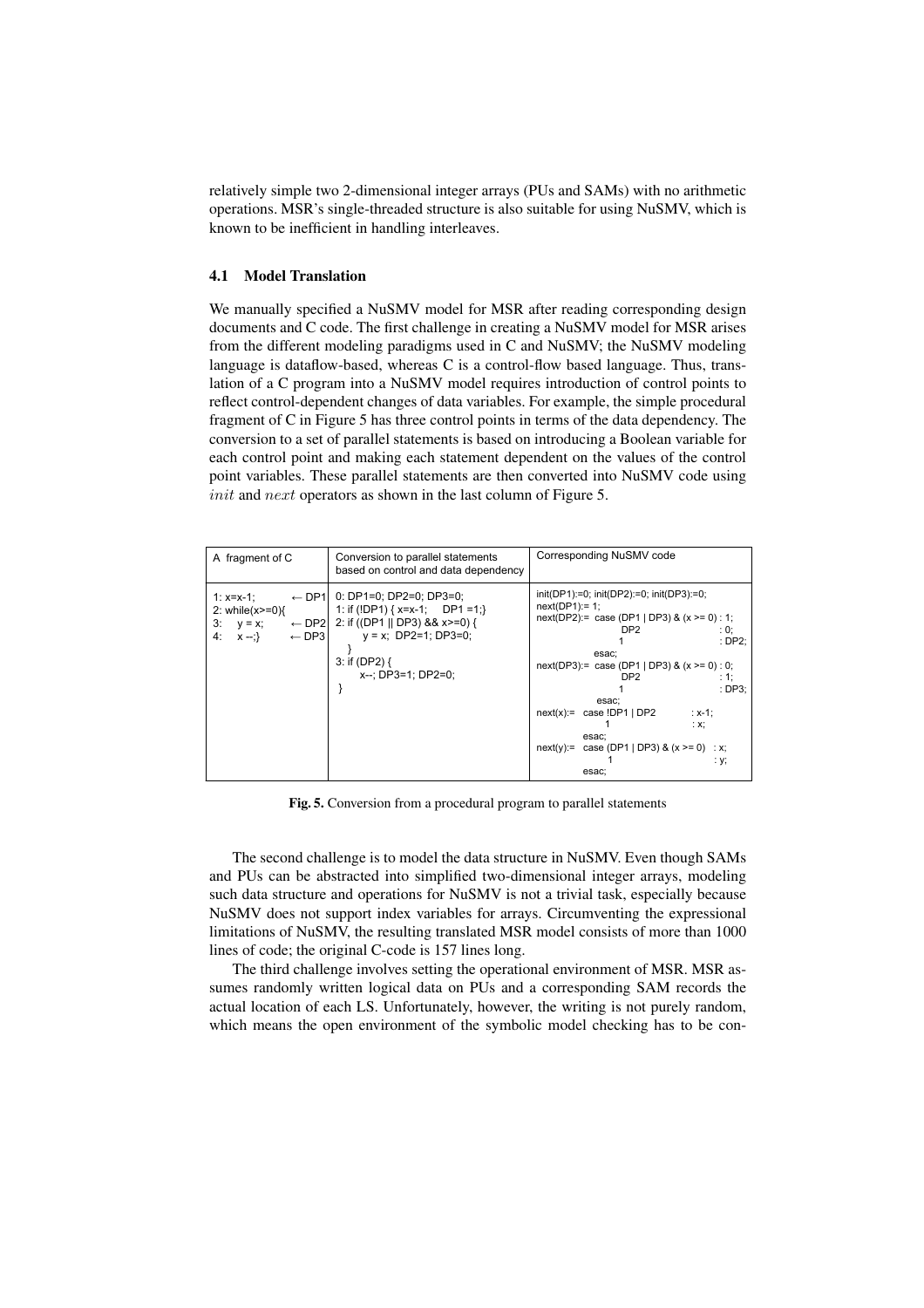relatively simple two 2-dimensional integer arrays (PUs and SAMs) with no arithmetic operations. MSR's single-threaded structure is also suitable for using NuSMV, which is known to be inefficient in handling interleaves.

#### 4.1 Model Translation

We manually specified a NuSMV model for MSR after reading corresponding design documents and C code. The first challenge in creating a NuSMV model for MSR arises from the different modeling paradigms used in C and NuSMV; the NuSMV modeling language is dataflow-based, whereas C is a control-flow based language. Thus, translation of a C program into a NuSMV model requires introduction of control points to reflect control-dependent changes of data variables. For example, the simple procedural fragment of C in Figure 5 has three control points in terms of the data dependency. The conversion to a set of parallel statements is based on introducing a Boolean variable for each control point and making each statement dependent on the values of the control point variables. These parallel statements are then converted into NuSMV code using init and next operators as shown in the last column of Figure 5.

| A fragment of C                                                    | Conversion to parallel statements<br>based on control and data dependency                                                                                                                                                      | Corresponding NuSMV code                                                                                                                                                                                                                                                                                                                                                                 |
|--------------------------------------------------------------------|--------------------------------------------------------------------------------------------------------------------------------------------------------------------------------------------------------------------------------|------------------------------------------------------------------------------------------------------------------------------------------------------------------------------------------------------------------------------------------------------------------------------------------------------------------------------------------------------------------------------------------|
| 2: while(x $>=0$ ){<br>$\leftarrow$ DP3<br>4:<br>$X - \frac{1}{2}$ | 1: x=x-1; $\leftarrow$ DP1  0: DP1=0; DP2=0; DP3=0;<br>1: if (!DP1) { $x=x-1$ ; DP1 =1;}<br>3: $y = x$ ; $\leftarrow$ DP2   2: if ((DP1    DP3) && x>=0) {<br>$y = x$ ; DP2=1; DP3=0;<br>$3:$ if (DP2) {<br>x--: DP3=1: DP2=0: | init(DP1):=0; init(DP2):=0; init(DP3):=0;<br>$next(DP1) = 1$ ;<br>$next(DP2): = case (DP1   DP3) & (x >= 0) : 1;$<br>DP <sub>2</sub><br>: 0:<br>:DP2<br>esac:<br>$next(DP3): = case (DP1   DP3) & (x >= 0) : 0;$<br>DP <sub>2</sub><br>: 1:<br>:DP3<br>esac;<br>$next(x):= case IDP1   DP2$<br>$: x-1$<br>:X:<br>esac;<br>$next(y) := case (DP1   DP3) & (x >= 0) : x;$<br>: у;<br>esac; |

Fig. 5. Conversion from a procedural program to parallel statements

The second challenge is to model the data structure in NuSMV. Even though SAMs and PUs can be abstracted into simplified two-dimensional integer arrays, modeling such data structure and operations for NuSMV is not a trivial task, especially because NuSMV does not support index variables for arrays. Circumventing the expressional limitations of NuSMV, the resulting translated MSR model consists of more than 1000 lines of code; the original C-code is 157 lines long.

The third challenge involves setting the operational environment of MSR. MSR assumes randomly written logical data on PUs and a corresponding SAM records the actual location of each LS. Unfortunately, however, the writing is not purely random, which means the open environment of the symbolic model checking has to be con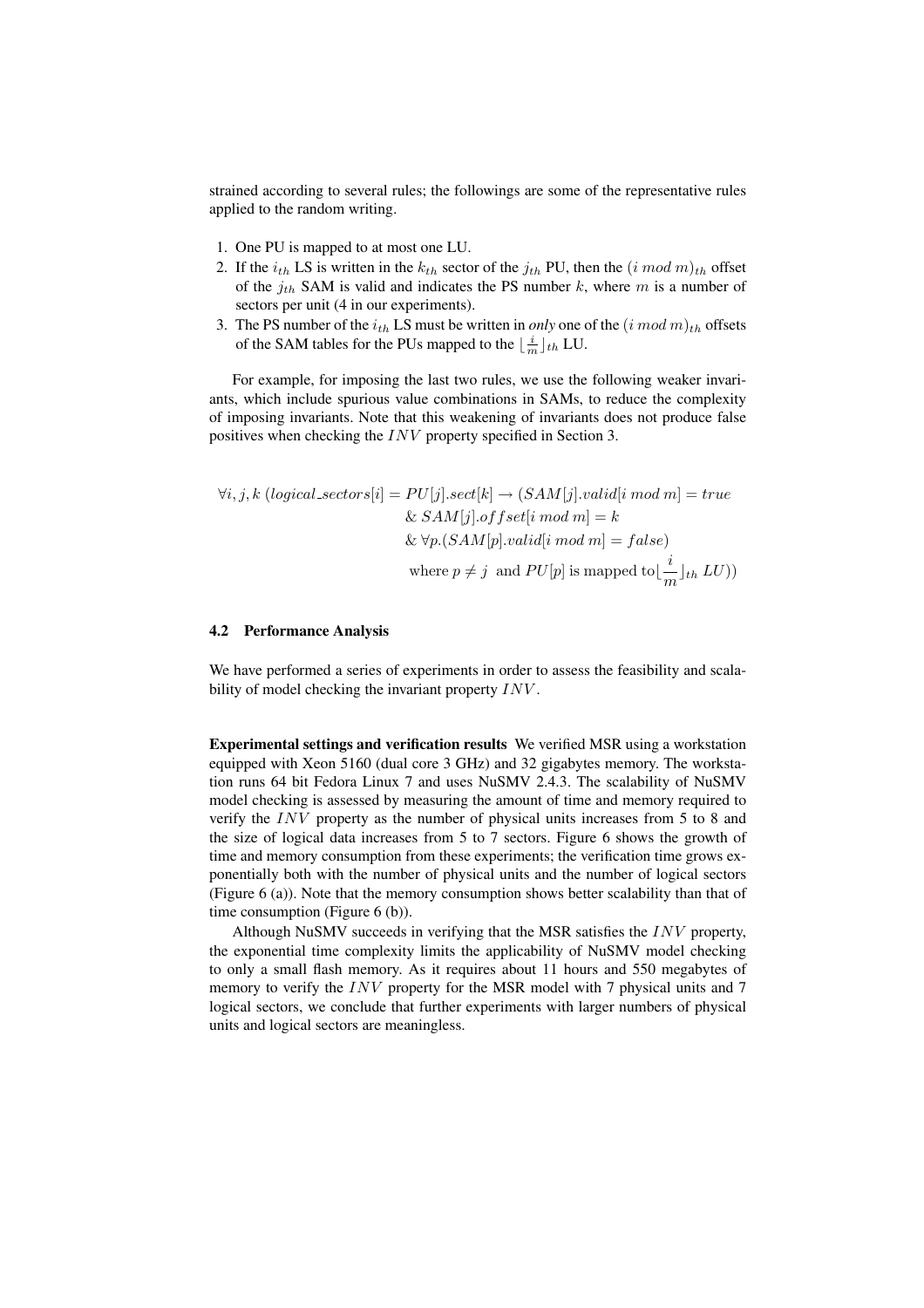strained according to several rules; the followings are some of the representative rules applied to the random writing.

- 1. One PU is mapped to at most one LU.
- 2. If the  $i_{th}$  LS is written in the  $k_{th}$  sector of the  $j_{th}$  PU, then the  $(i \mod m)_{th}$  offset of the  $j_{th}$  SAM is valid and indicates the PS number k, where m is a number of sectors per unit (4 in our experiments).
- 3. The PS number of the  $i_{th}$  LS must be written in *only* one of the  $(i \mod m)_{th}$  offsets of the SAM tables for the PUs mapped to the  $\lfloor \frac{i}{m} \rfloor_{th}$  LU.

For example, for imposing the last two rules, we use the following weaker invariants, which include spurious value combinations in SAMs, to reduce the complexity of imposing invariants. Note that this weakening of invariants does not produce false positives when checking the INV property specified in Section 3.

$$
\forall i, j, k \ (logical\_sectors[i] = PU[j].sect[k] \rightarrow (SAM[j].valid[i \mod m] = true
$$
  
\n&
$$
\& \ SAM[j].offset[i \mod m] = k
$$
  
\n&
$$
\forall p. (SAM[p].valid[i \mod m] = false)
$$
  
\nwhere  $p \neq j$  and  $PU[p]$  is mapped to  $\lfloor \frac{i}{m} \rfloor_{th} LU$ )

#### 4.2 Performance Analysis

We have performed a series of experiments in order to assess the feasibility and scalability of model checking the invariant property INV.

Experimental settings and verification results We verified MSR using a workstation equipped with Xeon 5160 (dual core 3 GHz) and 32 gigabytes memory. The workstation runs 64 bit Fedora Linux 7 and uses NuSMV 2.4.3. The scalability of NuSMV model checking is assessed by measuring the amount of time and memory required to verify the INV property as the number of physical units increases from 5 to 8 and the size of logical data increases from 5 to 7 sectors. Figure 6 shows the growth of time and memory consumption from these experiments; the verification time grows exponentially both with the number of physical units and the number of logical sectors (Figure 6 (a)). Note that the memory consumption shows better scalability than that of time consumption (Figure 6 (b)).

Although NuSMV succeeds in verifying that the MSR satisfies the  $INV$  property, the exponential time complexity limits the applicability of NuSMV model checking to only a small flash memory. As it requires about 11 hours and 550 megabytes of memory to verify the INV property for the MSR model with 7 physical units and 7 logical sectors, we conclude that further experiments with larger numbers of physical units and logical sectors are meaningless.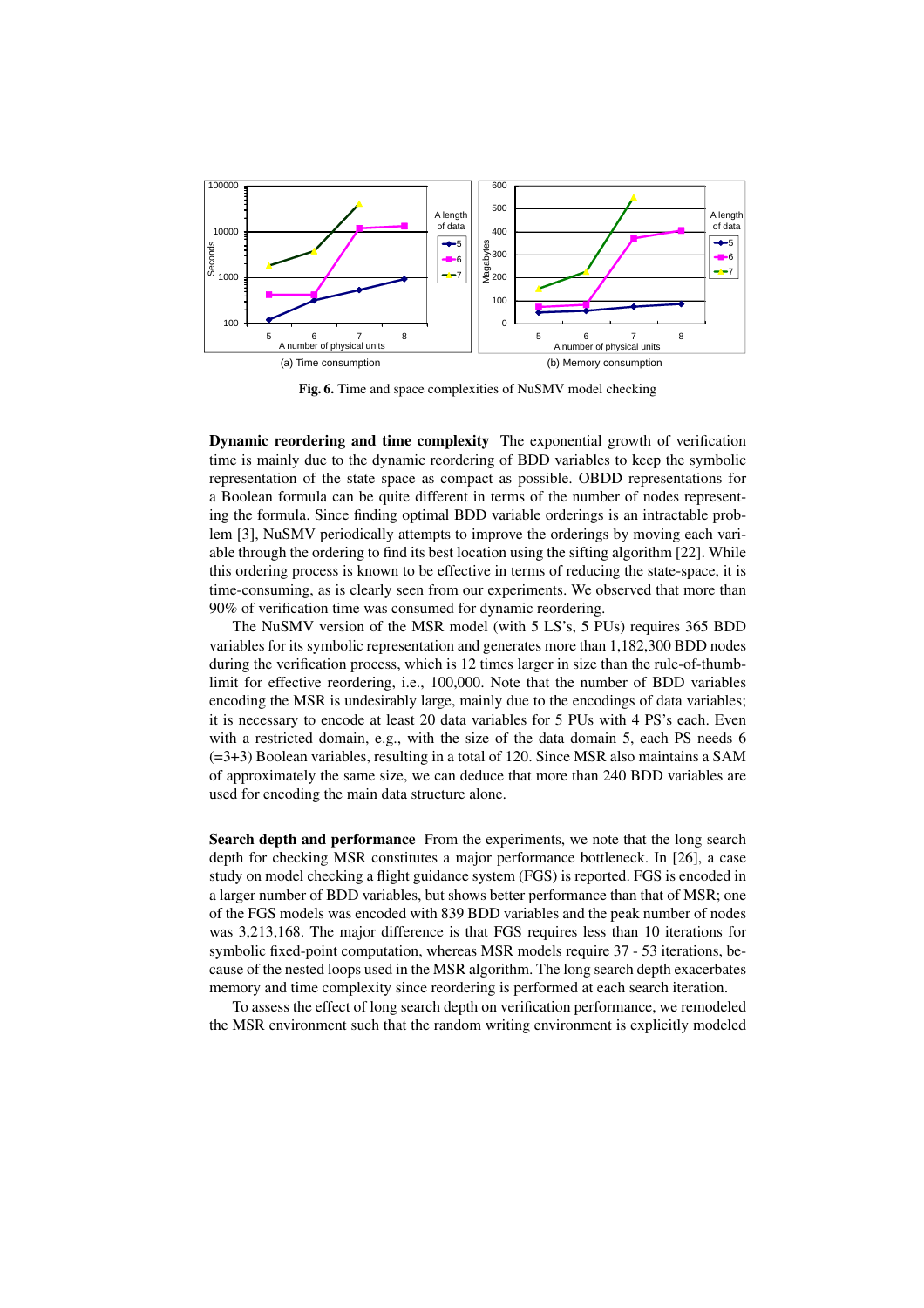

Fig. 6. Time and space complexities of NuSMV model checking

Dynamic reordering and time complexity The exponential growth of verification time is mainly due to the dynamic reordering of BDD variables to keep the symbolic representation of the state space as compact as possible. OBDD representations for a Boolean formula can be quite different in terms of the number of nodes representing the formula. Since finding optimal BDD variable orderings is an intractable problem [3], NuSMV periodically attempts to improve the orderings by moving each variable through the ordering to find its best location using the sifting algorithm [22]. While this ordering process is known to be effective in terms of reducing the state-space, it is time-consuming, as is clearly seen from our experiments. We observed that more than 90% of verification time was consumed for dynamic reordering.

The NuSMV version of the MSR model (with 5 LS's, 5 PUs) requires 365 BDD variables for its symbolic representation and generates more than 1,182,300 BDD nodes during the verification process, which is 12 times larger in size than the rule-of-thumblimit for effective reordering, i.e., 100,000. Note that the number of BDD variables encoding the MSR is undesirably large, mainly due to the encodings of data variables; it is necessary to encode at least 20 data variables for 5 PUs with 4 PS's each. Even with a restricted domain, e.g., with the size of the data domain 5, each PS needs 6 (=3+3) Boolean variables, resulting in a total of 120. Since MSR also maintains a SAM of approximately the same size, we can deduce that more than 240 BDD variables are used for encoding the main data structure alone.

Search depth and performance From the experiments, we note that the long search depth for checking MSR constitutes a major performance bottleneck. In [26], a case study on model checking a flight guidance system (FGS) is reported. FGS is encoded in a larger number of BDD variables, but shows better performance than that of MSR; one of the FGS models was encoded with 839 BDD variables and the peak number of nodes was 3,213,168. The major difference is that FGS requires less than 10 iterations for symbolic fixed-point computation, whereas MSR models require 37 - 53 iterations, because of the nested loops used in the MSR algorithm. The long search depth exacerbates memory and time complexity since reordering is performed at each search iteration.

To assess the effect of long search depth on verification performance, we remodeled the MSR environment such that the random writing environment is explicitly modeled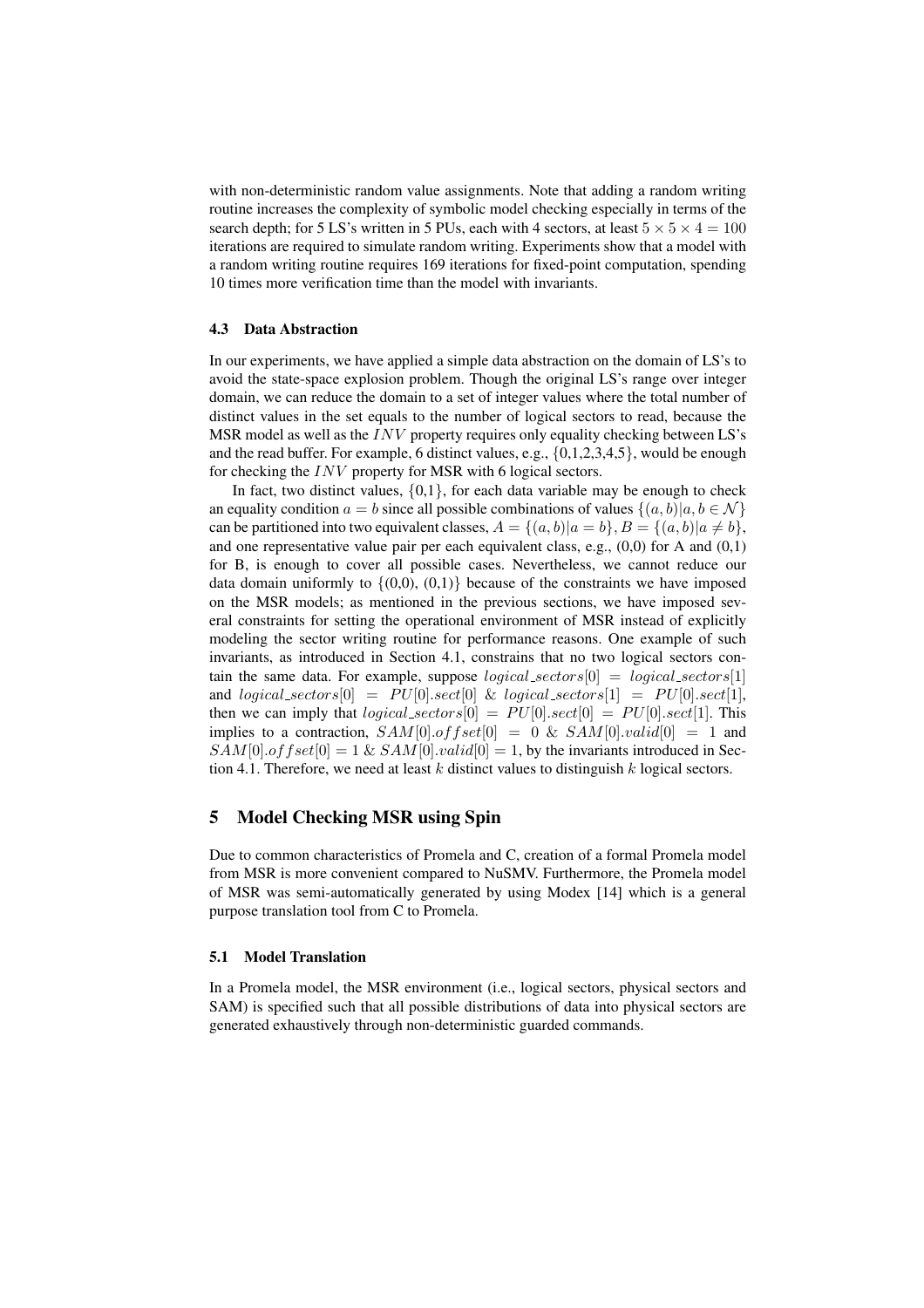with non-deterministic random value assignments. Note that adding a random writing routine increases the complexity of symbolic model checking especially in terms of the search depth; for 5 LS's written in 5 PUs, each with 4 sectors, at least  $5 \times 5 \times 4 = 100$ iterations are required to simulate random writing. Experiments show that a model with a random writing routine requires 169 iterations for fixed-point computation, spending 10 times more verification time than the model with invariants.

#### 4.3 Data Abstraction

In our experiments, we have applied a simple data abstraction on the domain of LS's to avoid the state-space explosion problem. Though the original LS's range over integer domain, we can reduce the domain to a set of integer values where the total number of distinct values in the set equals to the number of logical sectors to read, because the MSR model as well as the  $INV$  property requires only equality checking between LS's and the read buffer. For example, 6 distinct values, e.g., {0,1,2,3,4,5}, would be enough for checking the INV property for MSR with 6 logical sectors.

In fact, two distinct values,  $\{0,1\}$ , for each data variable may be enough to check an equality condition  $a = b$  since all possible combinations of values  $\{(a, b)|a, b \in \mathcal{N}\}\$ can be partitioned into two equivalent classes,  $A = \{(a, b)|a = b\}$ ,  $B = \{(a, b)|a \neq b\}$ , and one representative value pair per each equivalent class, e.g.,  $(0,0)$  for A and  $(0,1)$ for B, is enough to cover all possible cases. Nevertheless, we cannot reduce our data domain uniformly to  $\{(0,0), (0,1)\}$  because of the constraints we have imposed on the MSR models; as mentioned in the previous sections, we have imposed several constraints for setting the operational environment of MSR instead of explicitly modeling the sector writing routine for performance reasons. One example of such invariants, as introduced in Section 4.1, constrains that no two logical sectors contain the same data. For example, suppose  $logical\_sectors[0] = logical\_sectors[1]$ and  $logical\_sectors[0] = PU[0].sect[0] \& logical\_sectors[1] = PU[0].sect[1],$ then we can imply that  $logical\_sectors[0] = PU[0].sect[0] = PU[0].sect[1].$  This implies to a contraction,  $SAM[0].offset[0] = 0 \& SAM[0].valid[0] = 1$  and  $SAM[0].offset[0] = 1 \& SAM[0].valid[0] = 1, by the invariants introduced in Sec$ tion 4.1. Therefore, we need at least k distinct values to distinguish  $k$  logical sectors.

# 5 Model Checking MSR using Spin

Due to common characteristics of Promela and C, creation of a formal Promela model from MSR is more convenient compared to NuSMV. Furthermore, the Promela model of MSR was semi-automatically generated by using Modex [14] which is a general purpose translation tool from C to Promela.

#### 5.1 Model Translation

In a Promela model, the MSR environment (i.e., logical sectors, physical sectors and SAM) is specified such that all possible distributions of data into physical sectors are generated exhaustively through non-deterministic guarded commands.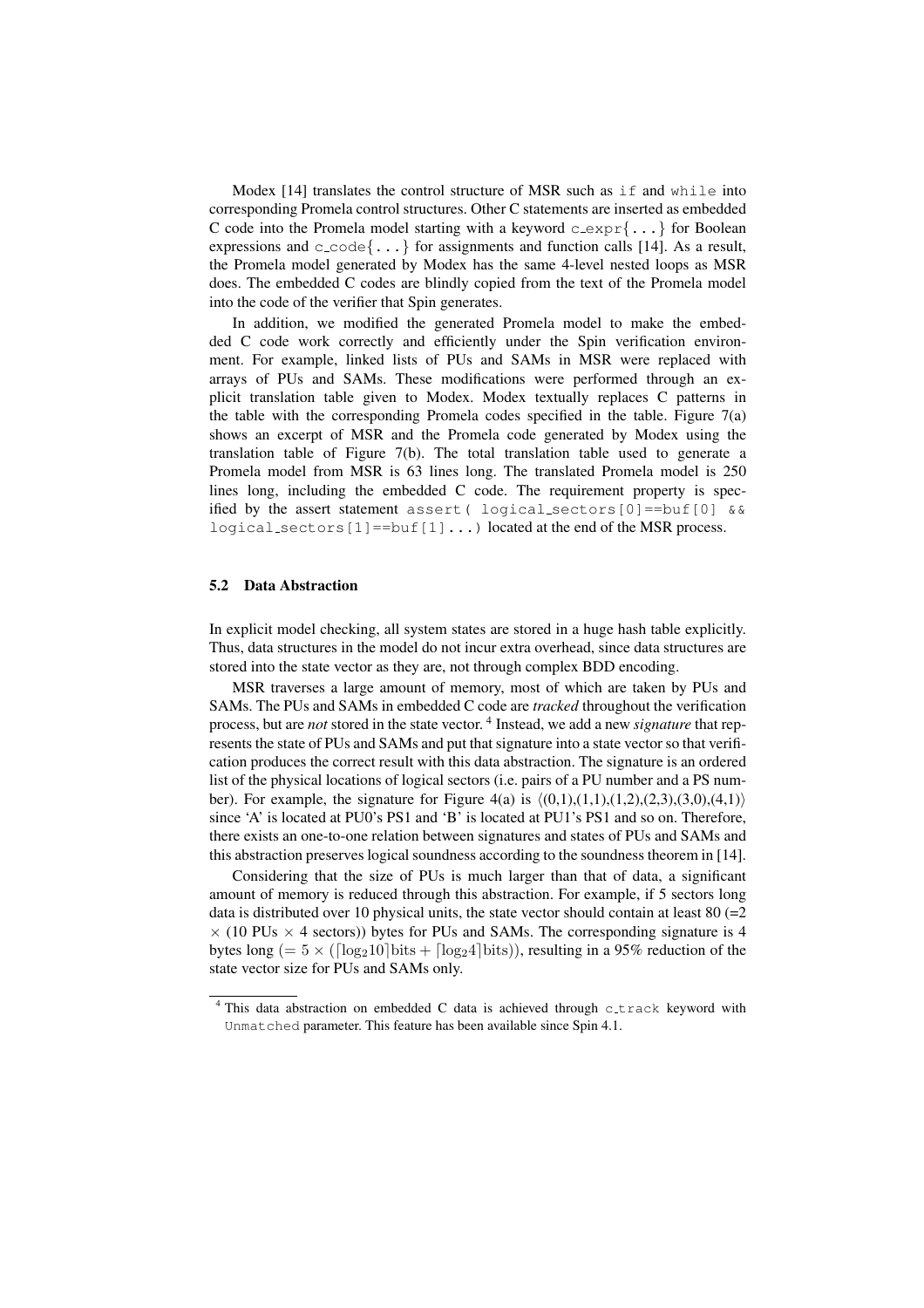Modex [14] translates the control structure of MSR such as  $if$  and while into corresponding Promela control structures. Other C statements are inserted as embedded C code into the Promela model starting with a keyword  $c$ -expr $\{\ldots\}$  for Boolean expressions and  $c \text{-code} \{ \dots \}$  for assignments and function calls [14]. As a result, the Promela model generated by Modex has the same 4-level nested loops as MSR does. The embedded C codes are blindly copied from the text of the Promela model into the code of the verifier that Spin generates.

In addition, we modified the generated Promela model to make the embedded C code work correctly and efficiently under the Spin verification environment. For example, linked lists of PUs and SAMs in MSR were replaced with arrays of PUs and SAMs. These modifications were performed through an explicit translation table given to Modex. Modex textually replaces C patterns in the table with the corresponding Promela codes specified in the table. Figure 7(a) shows an excerpt of MSR and the Promela code generated by Modex using the translation table of Figure 7(b). The total translation table used to generate a Promela model from MSR is 63 lines long. The translated Promela model is 250 lines long, including the embedded C code. The requirement property is specified by the assert statement assert ( logical sectors  $[0]$  ==buf[0] & & logical sectors  $[1] ==$ buf $[1] \ldots$ ) located at the end of the MSR process.

#### 5.2 Data Abstraction

In explicit model checking, all system states are stored in a huge hash table explicitly. Thus, data structures in the model do not incur extra overhead, since data structures are stored into the state vector as they are, not through complex BDD encoding.

MSR traverses a large amount of memory, most of which are taken by PUs and SAMs. The PUs and SAMs in embedded C code are *tracked* throughout the verification process, but are *not* stored in the state vector. <sup>4</sup> Instead, we add a new *signature* that represents the state of PUs and SAMs and put that signature into a state vector so that verification produces the correct result with this data abstraction. The signature is an ordered list of the physical locations of logical sectors (i.e. pairs of a PU number and a PS number). For example, the signature for Figure 4(a) is  $\langle (0,1),(1,1),(1,2),(2,3),(3,0),(4,1) \rangle$ since 'A' is located at PU0's PS1 and 'B' is located at PU1's PS1 and so on. Therefore, there exists an one-to-one relation between signatures and states of PUs and SAMs and this abstraction preserves logical soundness according to the soundness theorem in [14].

Considering that the size of PUs is much larger than that of data, a significant amount of memory is reduced through this abstraction. For example, if 5 sectors long data is distributed over 10 physical units, the state vector should contain at least  $80 (=2)$  $\times$  (10 PUs  $\times$  4 sectors)) bytes for PUs and SAMs. The corresponding signature is 4 bytes long (=  $5 \times$  ([log<sub>2</sub>10]bits + [log<sub>2</sub>4]bits)), resulting in a 95% reduction of the state vector size for PUs and SAMs only.

 $4$  This data abstraction on embedded C data is achieved through c\_track keyword with Unmatched parameter. This feature has been available since Spin 4.1.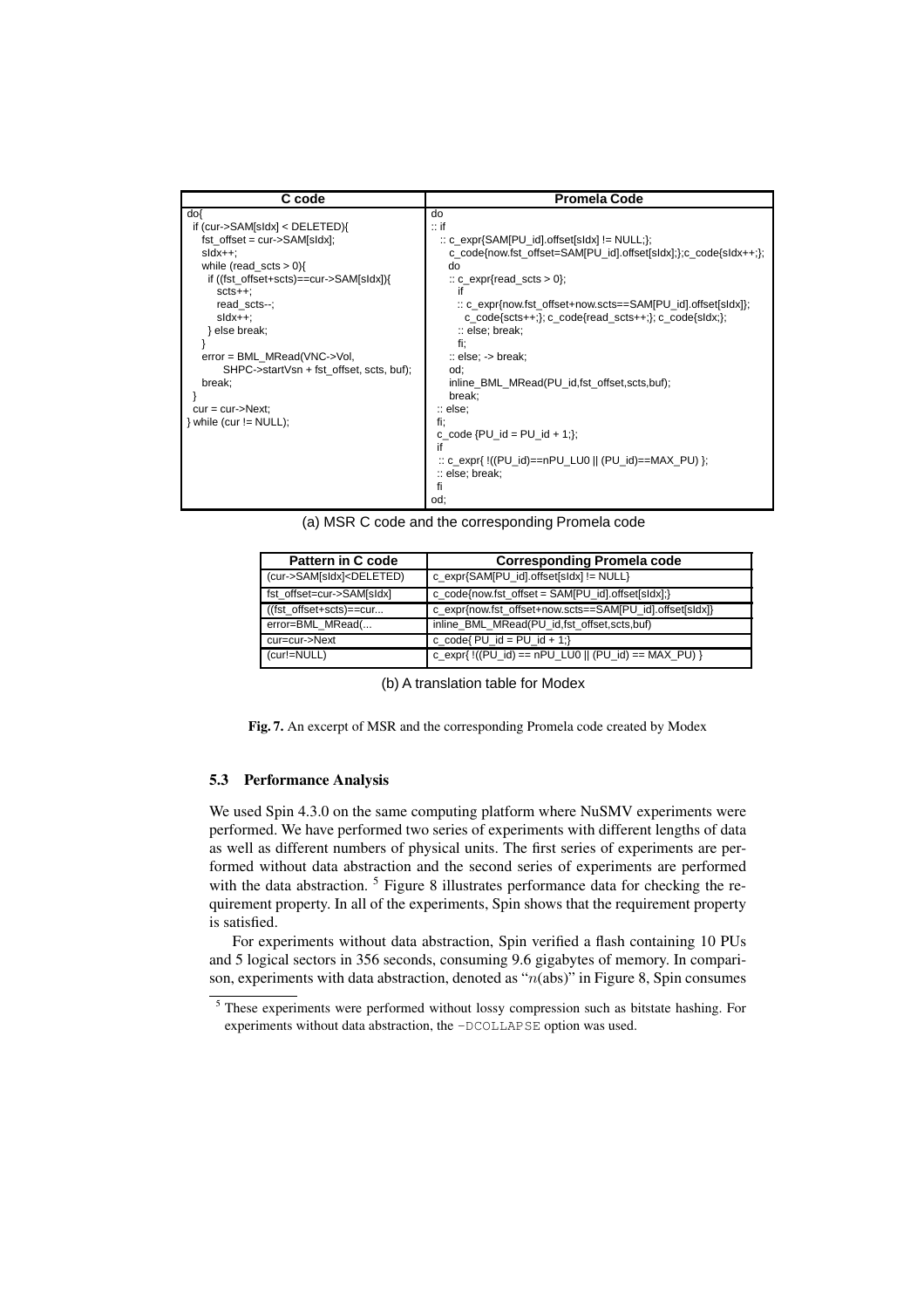| C code                                   | <b>Promela Code</b>                                                                  |  |  |  |  |
|------------------------------------------|--------------------------------------------------------------------------------------|--|--|--|--|
| do{                                      | do                                                                                   |  |  |  |  |
| if (cur->SAM[sldx] < DELETED){           | $::$ if                                                                              |  |  |  |  |
| fst offset = $cur->SAM[sldx]$ ;          | $\therefore$ c_expr{SAM[PU_id].offset[sldx] != NULL;};                               |  |  |  |  |
| $sldx++$                                 | c_code{now.fst_offset=SAM[PU_id].offset[sldx];};c_code{sldx++;};                     |  |  |  |  |
|                                          |                                                                                      |  |  |  |  |
| while (read $scts > 0$ )                 | do                                                                                   |  |  |  |  |
| if ((fst_offset+scts)==cur->SAM[sldx]){  | $\therefore$ c_expr{read_scts > 0};                                                  |  |  |  |  |
| $scts++$                                 | if                                                                                   |  |  |  |  |
| read scts--:                             | :: c_expr{now.fst_offset+now.scts==SAM[PU_id].offset[sldx]};                         |  |  |  |  |
| $sldx++$                                 | c_code{scts++;}; c_code{read_scts++;}; c_code{sldx;};                                |  |  |  |  |
| } else break;                            | :: else; break;                                                                      |  |  |  |  |
|                                          | fi:                                                                                  |  |  |  |  |
| error = BML MRead(VNC->Vol,              | $\therefore$ else; -> break;                                                         |  |  |  |  |
| SHPC->startVsn + fst offset, scts, buf); | od:                                                                                  |  |  |  |  |
| break:                                   | inline_BML_MRead(PU_id,fst_offset,scts,buf);                                         |  |  |  |  |
|                                          | break:                                                                               |  |  |  |  |
| $cur = cur$ ->Next:                      | $\therefore$ else;                                                                   |  |  |  |  |
|                                          | fi:                                                                                  |  |  |  |  |
|                                          | c code $\{PU$ id = PU id + 1;};                                                      |  |  |  |  |
|                                          | if                                                                                   |  |  |  |  |
|                                          |                                                                                      |  |  |  |  |
|                                          |                                                                                      |  |  |  |  |
|                                          |                                                                                      |  |  |  |  |
|                                          |                                                                                      |  |  |  |  |
| } while (cur != NULL);                   | :: c_expr{ !((PU_id)==nPU_LU0    (PU_id)==MAX_PU) };<br>:: else; break;<br>fi<br>od: |  |  |  |  |

| (a) MSR C code and the corresponding Promela code |  |  |
|---------------------------------------------------|--|--|
|---------------------------------------------------|--|--|

| <b>Pattern in C code</b>                                                                      | <b>Corresponding Promela code</b>                        |  |  |  |  |
|-----------------------------------------------------------------------------------------------|----------------------------------------------------------|--|--|--|--|
| (cur->SAM[sldx] <deleted)< td=""><td>c_expr{SAM[PU_id].offset[sldx] != NULL}</td></deleted)<> | c_expr{SAM[PU_id].offset[sldx] != NULL}                  |  |  |  |  |
| fst_offset=cur->SAM[sldx]                                                                     | c_code{now.fst_offset = SAM[PU_id].offset[sldx];}        |  |  |  |  |
| $((fst_offset + scts) == cur$                                                                 | c_expr{now.fst_offset+now.scts==SAM[PU_id].offset[sldx]} |  |  |  |  |
| error=BML_MRead(                                                                              | inline_BML_MRead(PU_id,fst_offset,scts,buf)              |  |  |  |  |
| cur=cur->Next                                                                                 | c code{ $PU$ id = $PU$ id + 1;}                          |  |  |  |  |
| (cur!=NULL)                                                                                   | c_expr{ !((PU_id) == nPU_LU0    (PU_id) == MAX_PU) }     |  |  |  |  |

(b) A translation table for Modex

Fig. 7. An excerpt of MSR and the corresponding Promela code created by Modex

## 5.3 Performance Analysis

We used Spin 4.3.0 on the same computing platform where NuSMV experiments were performed. We have performed two series of experiments with different lengths of data as well as different numbers of physical units. The first series of experiments are performed without data abstraction and the second series of experiments are performed with the data abstraction. <sup>5</sup> Figure 8 illustrates performance data for checking the requirement property. In all of the experiments, Spin shows that the requirement property is satisfied.

For experiments without data abstraction, Spin verified a flash containing 10 PUs and 5 logical sectors in 356 seconds, consuming 9.6 gigabytes of memory. In comparison, experiments with data abstraction, denoted as " $n$ (abs)" in Figure 8, Spin consumes

<sup>&</sup>lt;sup>5</sup> These experiments were performed without lossy compression such as bitstate hashing. For experiments without data abstraction, the -DCOLLAPSE option was used.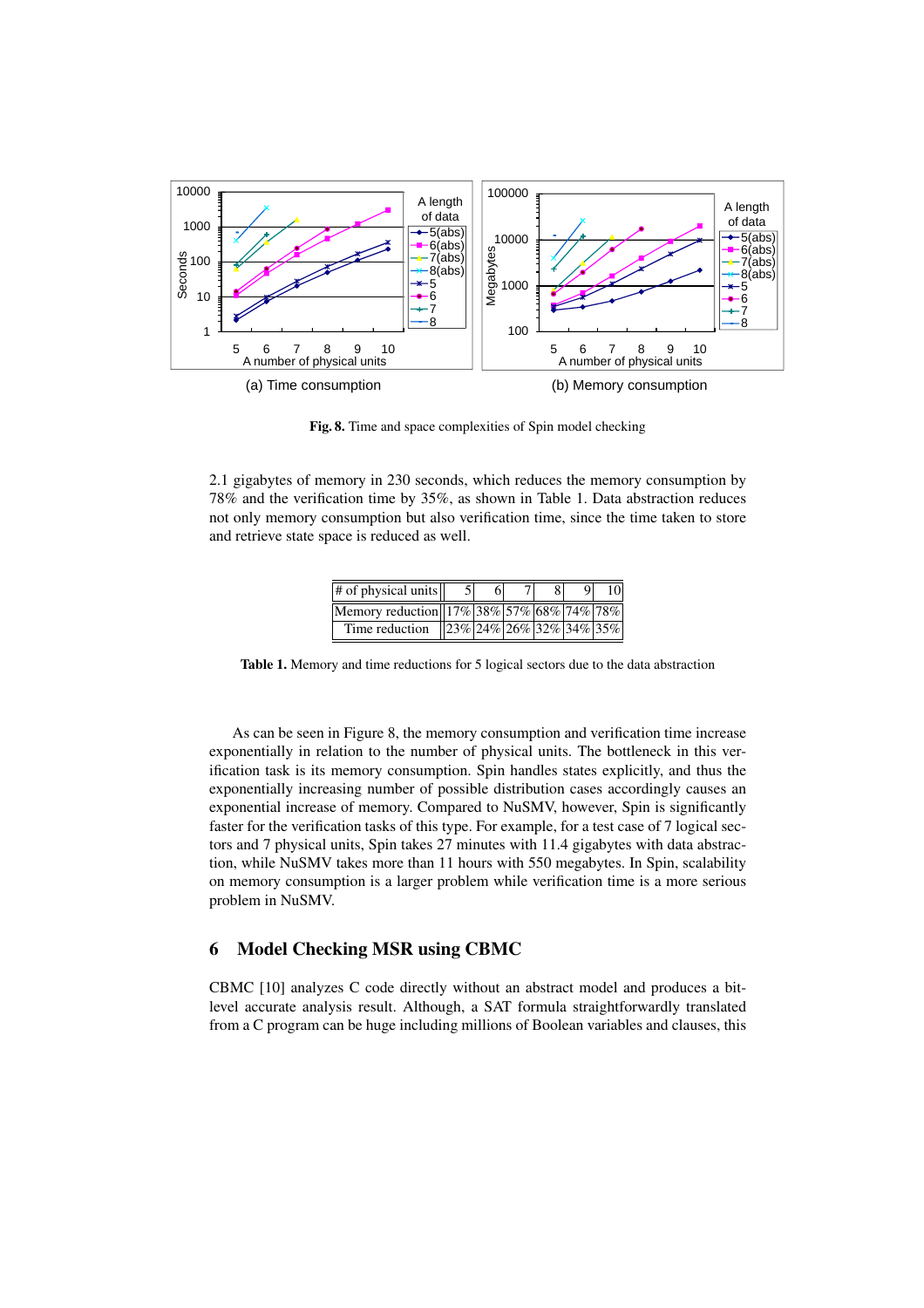

Fig. 8. Time and space complexities of Spin model checking

2.1 gigabytes of memory in 230 seconds, which reduces the memory consumption by 78% and the verification time by 35%, as shown in Table 1. Data abstraction reduces not only memory consumption but also verification time, since the time taken to store and retrieve state space is reduced as well.

| # of physical units $\parallel$          |  |  |  |
|------------------------------------------|--|--|--|
| Memory reduction 17% 38% 57% 68% 74% 78% |  |  |  |
| Time reduction 23% 24% 26% 32% 34% 35%   |  |  |  |

Table 1. Memory and time reductions for 5 logical sectors due to the data abstraction

As can be seen in Figure 8, the memory consumption and verification time increase exponentially in relation to the number of physical units. The bottleneck in this verification task is its memory consumption. Spin handles states explicitly, and thus the exponentially increasing number of possible distribution cases accordingly causes an exponential increase of memory. Compared to NuSMV, however, Spin is significantly faster for the verification tasks of this type. For example, for a test case of 7 logical sectors and 7 physical units, Spin takes 27 minutes with 11.4 gigabytes with data abstraction, while NuSMV takes more than 11 hours with 550 megabytes. In Spin, scalability on memory consumption is a larger problem while verification time is a more serious problem in NuSMV.

# 6 Model Checking MSR using CBMC

CBMC [10] analyzes C code directly without an abstract model and produces a bitlevel accurate analysis result. Although, a SAT formula straightforwardly translated from a C program can be huge including millions of Boolean variables and clauses, this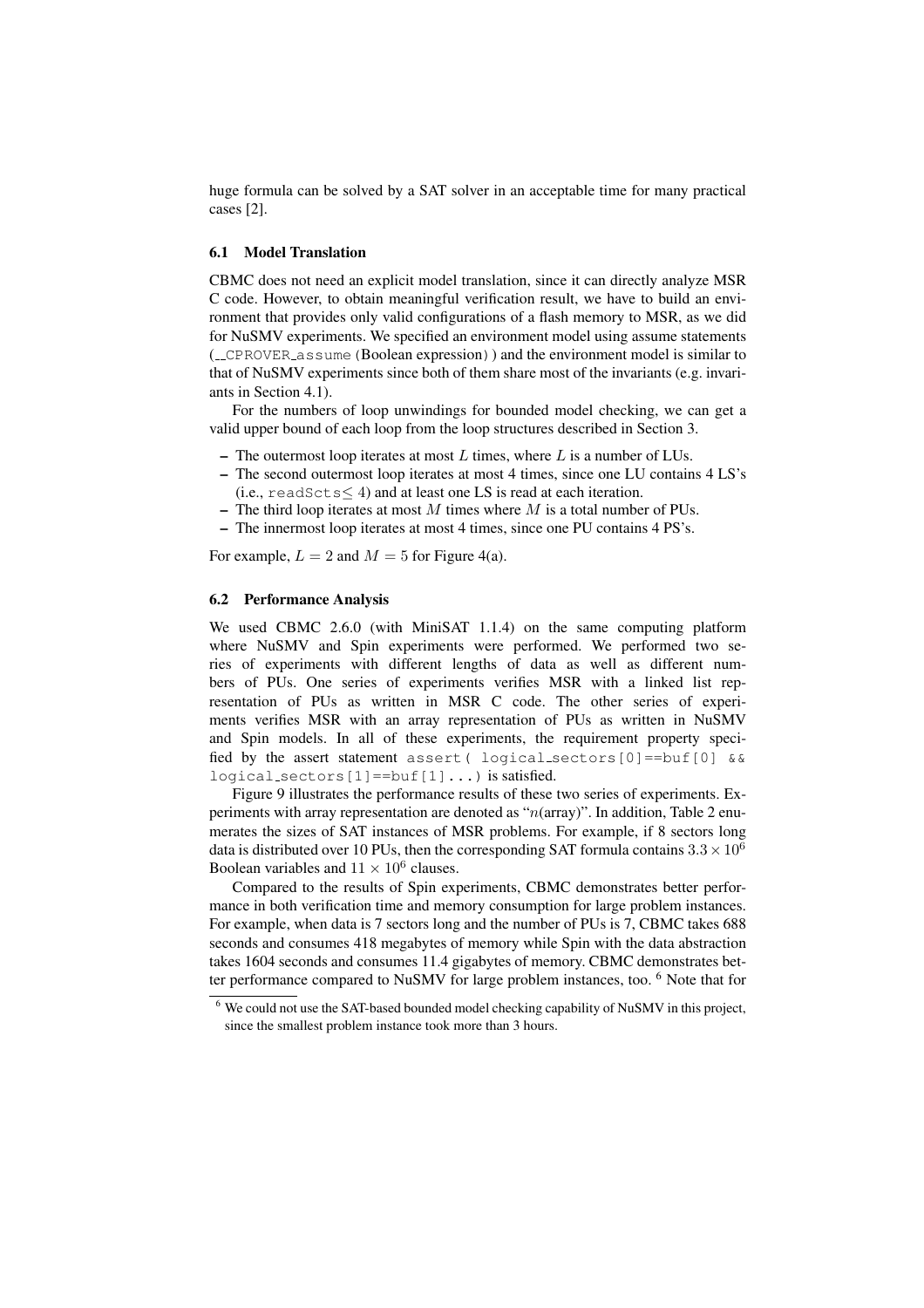huge formula can be solved by a SAT solver in an acceptable time for many practical cases [2].

#### 6.1 Model Translation

CBMC does not need an explicit model translation, since it can directly analyze MSR C code. However, to obtain meaningful verification result, we have to build an environment that provides only valid configurations of a flash memory to MSR, as we did for NuSMV experiments. We specified an environment model using assume statements (\_CPROVER\_assume(Boolean expression)) and the environment model is similar to that of NuSMV experiments since both of them share most of the invariants (e.g. invariants in Section 4.1).

For the numbers of loop unwindings for bounded model checking, we can get a valid upper bound of each loop from the loop structures described in Section 3.

- The outermost loop iterates at most L times, where L is a number of LUs.
- The second outermost loop iterates at most 4 times, since one LU contains 4 LS's (i.e., readScts $\leq$ 4) and at least one LS is read at each iteration.
- The third loop iterates at most M times where M is a total number of PUs.
- The innermost loop iterates at most 4 times, since one PU contains 4 PS's.

For example,  $L = 2$  and  $M = 5$  for Figure 4(a).

#### 6.2 Performance Analysis

We used CBMC 2.6.0 (with MiniSAT 1.1.4) on the same computing platform where NuSMV and Spin experiments were performed. We performed two series of experiments with different lengths of data as well as different numbers of PUs. One series of experiments verifies MSR with a linked list representation of PUs as written in MSR C code. The other series of experiments verifies MSR with an array representation of PUs as written in NuSMV and Spin models. In all of these experiments, the requirement property specified by the assert statement assert ( logical sectors  $[0] = =$ buf $[0]$  & & logical\_sectors[1]==buf[1]...) is satisfied.

Figure 9 illustrates the performance results of these two series of experiments. Experiments with array representation are denoted as " $n(array)$ ". In addition, Table 2 enumerates the sizes of SAT instances of MSR problems. For example, if 8 sectors long data is distributed over 10 PUs, then the corresponding SAT formula contains  $3.3 \times 10^6$ Boolean variables and  $11 \times 10^6$  clauses.

Compared to the results of Spin experiments, CBMC demonstrates better performance in both verification time and memory consumption for large problem instances. For example, when data is 7 sectors long and the number of PUs is 7, CBMC takes 688 seconds and consumes 418 megabytes of memory while Spin with the data abstraction takes 1604 seconds and consumes 11.4 gigabytes of memory. CBMC demonstrates better performance compared to NuSMV for large problem instances, too. <sup>6</sup> Note that for

<sup>&</sup>lt;sup>6</sup> We could not use the SAT-based bounded model checking capability of NuSMV in this project, since the smallest problem instance took more than 3 hours.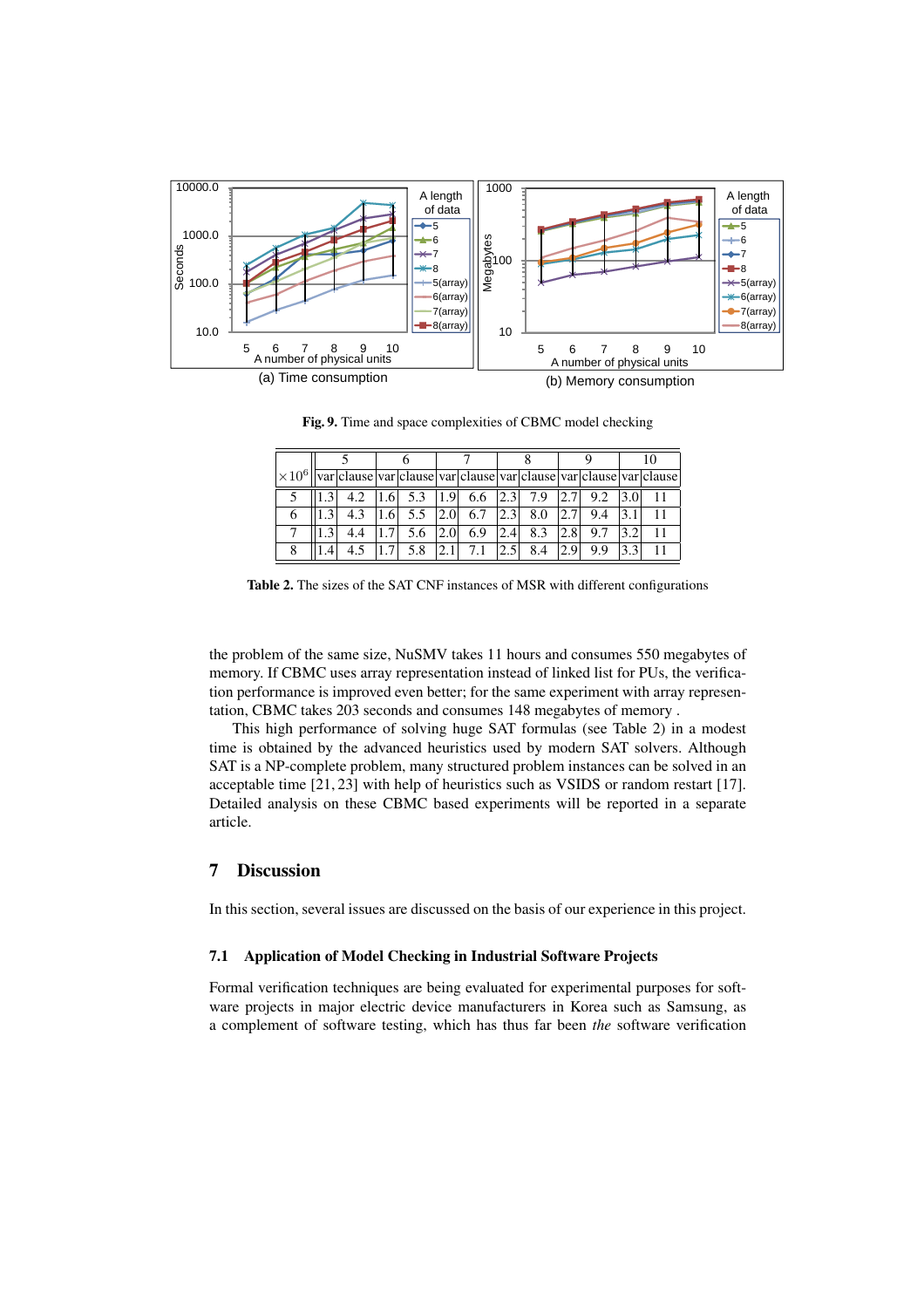

Fig. 9. Time and space complexities of CBMC model checking

|   |  |  |     |                                     |     |             |     |                                                                                 |       |     |     | 10 |  |
|---|--|--|-----|-------------------------------------|-----|-------------|-----|---------------------------------------------------------------------------------|-------|-----|-----|----|--|
|   |  |  |     |                                     |     |             |     | $\times 10^6$ var clause var clause var clause var clause var clause var clause |       |     |     |    |  |
|   |  |  |     |                                     |     |             |     | 4.2 1.6 5.3 1.9 6.6 2.3 7.9 2.7 9.2                                             |       |     | 3.0 |    |  |
| 6 |  |  |     | 4.3 $ 1.6 $ 5.5 $ 2.0 $ 6.7 $ 2.3 $ |     |             |     | - 8.0                                                                           | 2.7   | 9.4 |     |    |  |
|   |  |  |     | 5.6                                 | 2.0 | 6.9         | 2.4 | 8.3                                                                             | 12.81 | 9.7 |     |    |  |
|   |  |  | 1.7 | 5.8                                 |     | $ 2.1 $ 7.1 | 2.5 | 8.4                                                                             | 2.9   | 9.9 |     |    |  |

Table 2. The sizes of the SAT CNF instances of MSR with different configurations

the problem of the same size, NuSMV takes 11 hours and consumes 550 megabytes of memory. If CBMC uses array representation instead of linked list for PUs, the verification performance is improved even better; for the same experiment with array representation, CBMC takes 203 seconds and consumes 148 megabytes of memory .

This high performance of solving huge SAT formulas (see Table 2) in a modest time is obtained by the advanced heuristics used by modern SAT solvers. Although SAT is a NP-complete problem, many structured problem instances can be solved in an acceptable time [21, 23] with help of heuristics such as VSIDS or random restart [17]. Detailed analysis on these CBMC based experiments will be reported in a separate article.

# 7 Discussion

In this section, several issues are discussed on the basis of our experience in this project.

#### 7.1 Application of Model Checking in Industrial Software Projects

Formal verification techniques are being evaluated for experimental purposes for software projects in major electric device manufacturers in Korea such as Samsung, as a complement of software testing, which has thus far been *the* software verification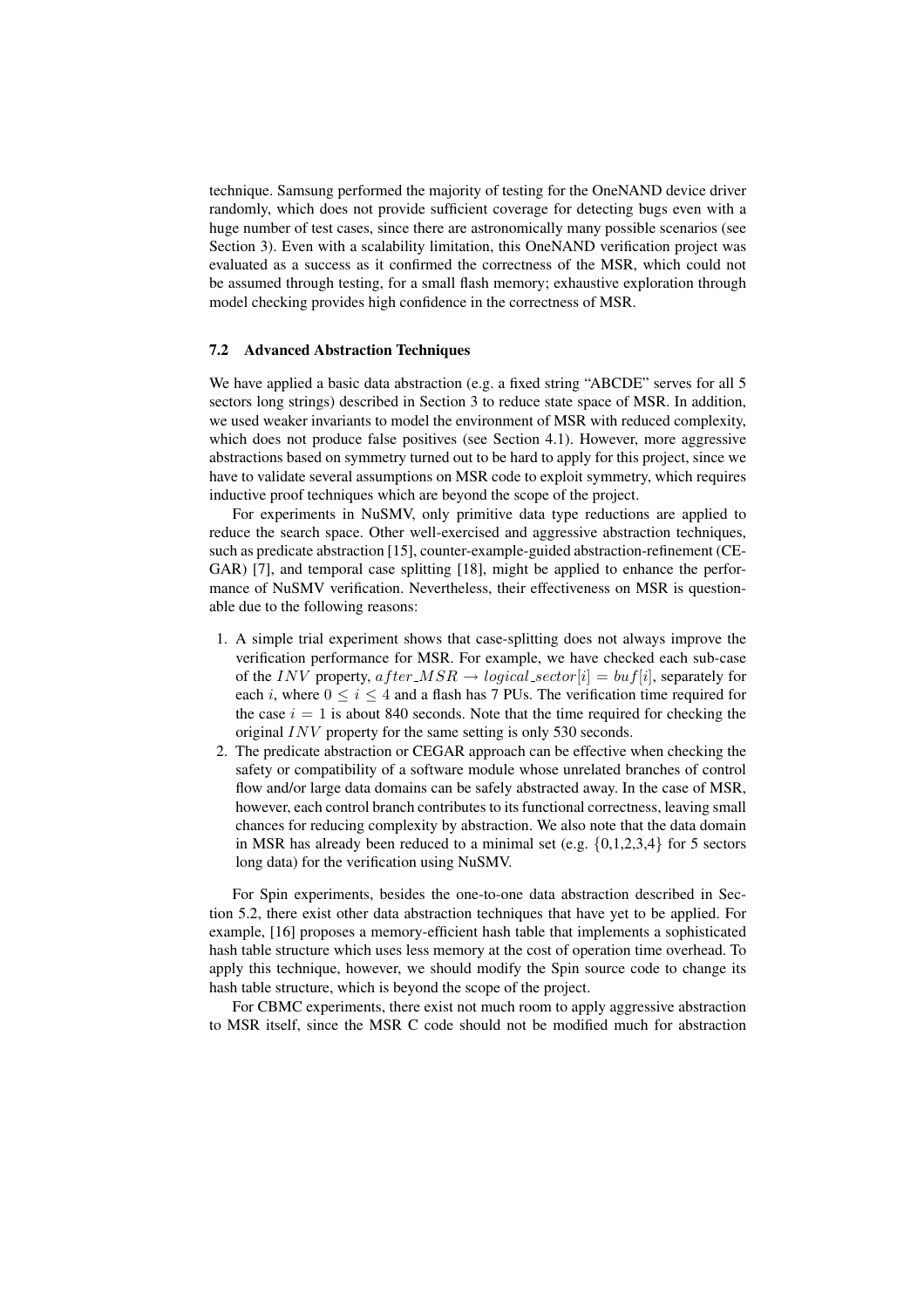technique. Samsung performed the majority of testing for the OneNAND device driver randomly, which does not provide sufficient coverage for detecting bugs even with a huge number of test cases, since there are astronomically many possible scenarios (see Section 3). Even with a scalability limitation, this OneNAND verification project was evaluated as a success as it confirmed the correctness of the MSR, which could not be assumed through testing, for a small flash memory; exhaustive exploration through model checking provides high confidence in the correctness of MSR.

#### 7.2 Advanced Abstraction Techniques

We have applied a basic data abstraction (e.g. a fixed string "ABCDE" serves for all 5 sectors long strings) described in Section 3 to reduce state space of MSR. In addition, we used weaker invariants to model the environment of MSR with reduced complexity, which does not produce false positives (see Section 4.1). However, more aggressive abstractions based on symmetry turned out to be hard to apply for this project, since we have to validate several assumptions on MSR code to exploit symmetry, which requires inductive proof techniques which are beyond the scope of the project.

For experiments in NuSMV, only primitive data type reductions are applied to reduce the search space. Other well-exercised and aggressive abstraction techniques, such as predicate abstraction [15], counter-example-guided abstraction-refinement (CE-GAR) [7], and temporal case splitting [18], might be applied to enhance the performance of NuSMV verification. Nevertheless, their effectiveness on MSR is questionable due to the following reasons:

- 1. A simple trial experiment shows that case-splitting does not always improve the verification performance for MSR. For example, we have checked each sub-case of the INV property, after  $MSR \rightarrow logical\_sector[i] = but fi$ , separately for each i, where  $0 \le i \le 4$  and a flash has 7 PUs. The verification time required for the case  $i = 1$  is about 840 seconds. Note that the time required for checking the original INV property for the same setting is only 530 seconds.
- 2. The predicate abstraction or CEGAR approach can be effective when checking the safety or compatibility of a software module whose unrelated branches of control flow and/or large data domains can be safely abstracted away. In the case of MSR, however, each control branch contributes to its functional correctness, leaving small chances for reducing complexity by abstraction. We also note that the data domain in MSR has already been reduced to a minimal set (e.g.  $\{0,1,2,3,4\}$  for 5 sectors long data) for the verification using NuSMV.

For Spin experiments, besides the one-to-one data abstraction described in Section 5.2, there exist other data abstraction techniques that have yet to be applied. For example, [16] proposes a memory-efficient hash table that implements a sophisticated hash table structure which uses less memory at the cost of operation time overhead. To apply this technique, however, we should modify the Spin source code to change its hash table structure, which is beyond the scope of the project.

For CBMC experiments, there exist not much room to apply aggressive abstraction to MSR itself, since the MSR C code should not be modified much for abstraction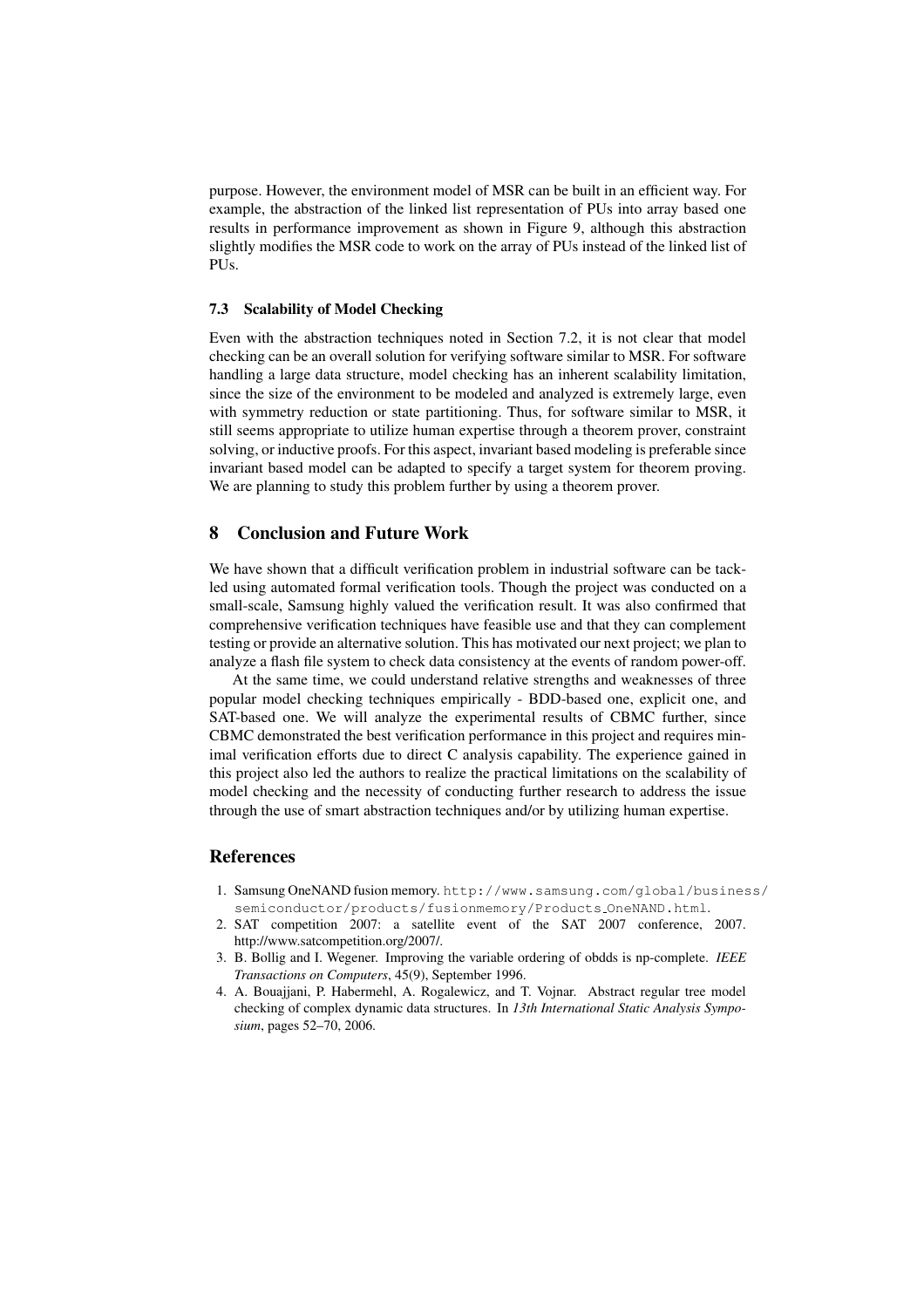purpose. However, the environment model of MSR can be built in an efficient way. For example, the abstraction of the linked list representation of PUs into array based one results in performance improvement as shown in Figure 9, although this abstraction slightly modifies the MSR code to work on the array of PUs instead of the linked list of PUs.

#### 7.3 Scalability of Model Checking

Even with the abstraction techniques noted in Section 7.2, it is not clear that model checking can be an overall solution for verifying software similar to MSR. For software handling a large data structure, model checking has an inherent scalability limitation, since the size of the environment to be modeled and analyzed is extremely large, even with symmetry reduction or state partitioning. Thus, for software similar to MSR, it still seems appropriate to utilize human expertise through a theorem prover, constraint solving, or inductive proofs. For this aspect, invariant based modeling is preferable since invariant based model can be adapted to specify a target system for theorem proving. We are planning to study this problem further by using a theorem prover.

## 8 Conclusion and Future Work

We have shown that a difficult verification problem in industrial software can be tackled using automated formal verification tools. Though the project was conducted on a small-scale, Samsung highly valued the verification result. It was also confirmed that comprehensive verification techniques have feasible use and that they can complement testing or provide an alternative solution. This has motivated our next project; we plan to analyze a flash file system to check data consistency at the events of random power-off.

At the same time, we could understand relative strengths and weaknesses of three popular model checking techniques empirically - BDD-based one, explicit one, and SAT-based one. We will analyze the experimental results of CBMC further, since CBMC demonstrated the best verification performance in this project and requires minimal verification efforts due to direct C analysis capability. The experience gained in this project also led the authors to realize the practical limitations on the scalability of model checking and the necessity of conducting further research to address the issue through the use of smart abstraction techniques and/or by utilizing human expertise.

## References

- 1. Samsung OneNAND fusion memory. http://www.samsung.com/global/business/ semiconductor/products/fusionmemory/Products OneNAND.html.
- 2. SAT competition 2007: a satellite event of the SAT 2007 conference, 2007. http://www.satcompetition.org/2007/.
- 3. B. Bollig and I. Wegener. Improving the variable ordering of obdds is np-complete. *IEEE Transactions on Computers*, 45(9), September 1996.
- 4. A. Bouajjani, P. Habermehl, A. Rogalewicz, and T. Vojnar. Abstract regular tree model checking of complex dynamic data structures. In *13th International Static Analysis Symposium*, pages 52–70, 2006.